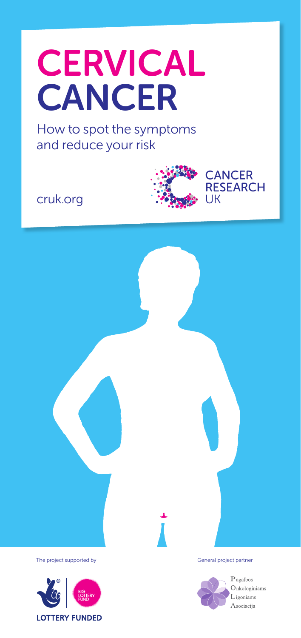# **CERVICAL CANCER**

How to spot the symptoms and reduce your risk

cruk.org





The project supported by General project partner

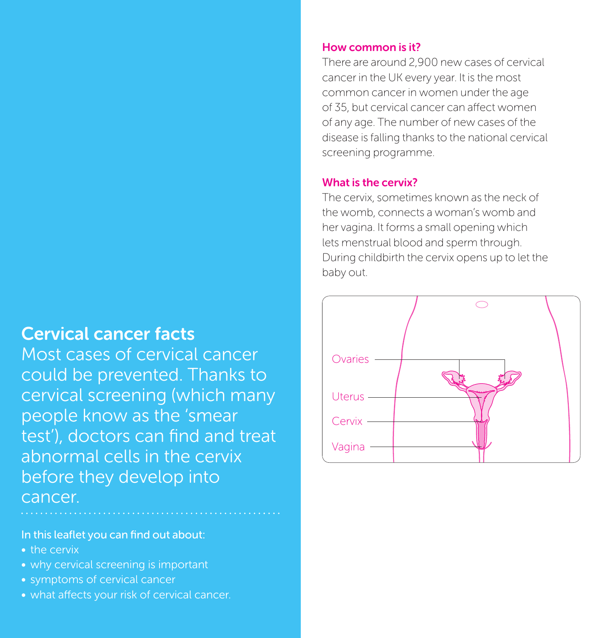### Cervical cancer facts

Most cases of cervical cancer could be prevented. Thanks to cervical screening (which many people know as the 'smear test'), doctors can find and treat abnormal cells in the cervix before they develop into cancer.

### In this leaflet you can find out about:

- the cervix
- why cervical screening is important
- symptoms of cervical cancer
- what affects your risk of cervical cancer.

### How common is it?

There are around 2,900 new cases of cervical cancer in the UK every year. It is the most common cancer in women under the age of 35, but cervical cancer can affect women of any age. The number of new cases of the disease is falling thanks to the national cervical screening programme.

### What is the cervix?

The cervix, sometimes known as the neck of the womb, connects a woman's womb and her vagina. It forms a small opening which lets menstrual blood and sperm through. During childbirth the cervix opens up to let the baby out.

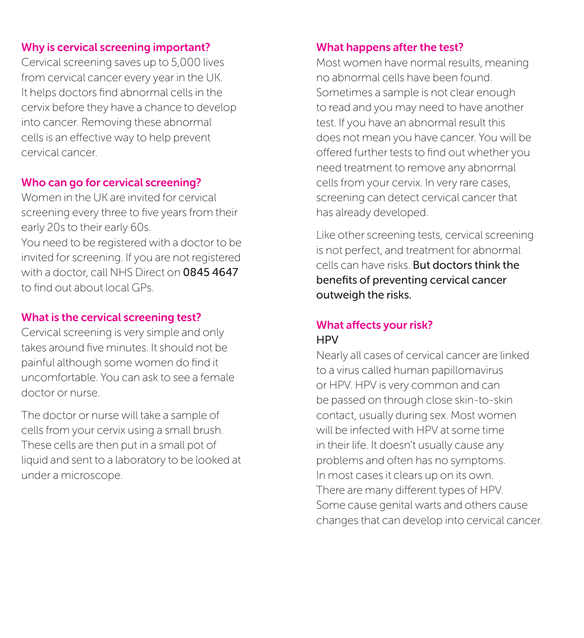### Why is cervical screening important?

Cervical screening saves up to 5,000 lives from cervical cancer every year in the UK. It helps doctors find abnormal cells in the cervix before they have a chance to develop into cancer. Removing these abnormal cells is an effective way to help prevent cervical cancer.

### Who can go for cervical screening?

Women in the UK are invited for cervical screening every three to five years from their early 20s to their early 60s. You need to be registered with a doctor to be invited for screening. If you are not registered with a doctor, call NHS Direct on 0845 4647 to find out about local GPs.

### What is the cervical screening test?

Cervical screening is very simple and only takes around five minutes. It should not be painful although some women do find it uncomfortable. You can ask to see a female doctor or nurse.

The doctor or nurse will take a sample of cells from your cervix using a small brush. These cells are then put in a small pot of liquid and sent to a laboratory to be looked at under a microscope.

### What happens after the test?

Most women have normal results, meaning no abnormal cells have been found. Sometimes a sample is not clear enough to read and you may need to have another test. If you have an abnormal result this does not mean you have cancer. You will be offered further tests to find out whether you need treatment to remove any abnormal cells from your cervix. In very rare cases, screening can detect cervical cancer that has already developed.

Like other screening tests, cervical screening is not perfect, and treatment for abnormal cells can have risks. But doctors think the benefits of preventing cervical cancer outweigh the risks.

### What affects your risk? **HPV**

Nearly all cases of cervical cancer are linked to a virus called human papillomavirus or HPV. HPV is very common and can be passed on through close skin-to-skin contact, usually during sex. Most women will be infected with HPV at some time in their life. It doesn't usually cause any problems and often has no symptoms. In most cases it clears up on its own. There are many different types of HPV. Some cause genital warts and others cause changes that can develop into cervical cancer.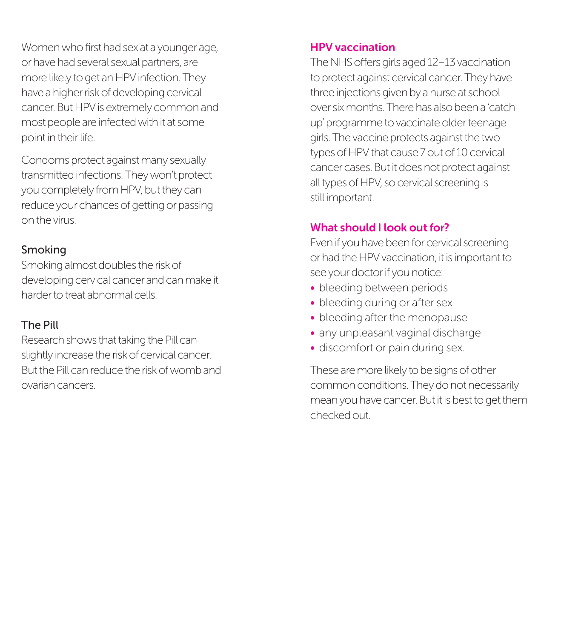Women who first had sex at a younger age, or have had several sexual partners, are more likely to get an HPV infection. They have a higher risk of developing cervical cancer. But HPV is extremely common and most people are infected with it at some point in their life.

Condoms protect against many sexually transmitted infections. They won't protect you completely from HPV, but they can reduce your chances of getting or passing on the virus.

### Smoking

Smoking almost doubles the risk of developing cervical cancer and can make it harder to treat abnormal cells.

### The Pill

Research shows that taking the Pill can slightly increase the risk of cervical cancer. But the Pill can reduce the risk of womb and ovarian cancers.

### HPV vaccination

The NHS offers girls aged 12–13 vaccination to protect against cervical cancer. They have three injections given by a nurse at school over six months. There has also been a 'catch up' programme to vaccinate older teenage girls. The vaccine protects against the two types of HPV that cause 7 out of 10 cervical cancer cases. But it does not protect against all types of HPV, so cervical screening is still important.

### What should I look out for?

Even if you have been for cervical screening or had the HPV vaccination, it is important to see your doctor if you notice:

- bleeding between periods
- bleeding during or after sex
- bleeding after the menopause
- any unpleasant vaginal discharge
- discomfort or pain during sex.

These are more likely to be signs of other common conditions. They do not necessarily mean you have cancer. But it is best to get them checked out.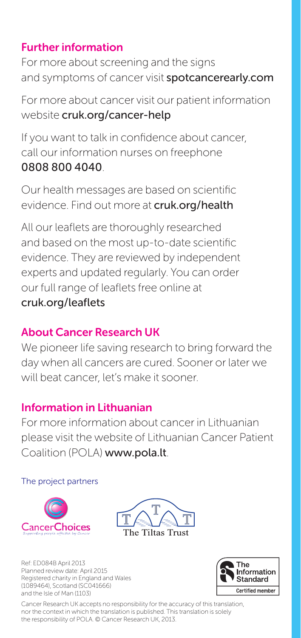### Further information

For more about screening and the signs and symptoms of cancer visit **spotcancerearly.com** 

For more about cancer visit our patient information website cruk.org/cancer-help

If you want to talk in confidence about cancer, call our information nurses on freephone 0808 800 4040.

Our health messages are based on scientific evidence. Find out more at cruk.org/health

All our leaflets are thoroughly researched and based on the most up-to-date scientific evidence. They are reviewed by independent experts and updated regularly. You can order our full range of leaflets free online at cruk.org/leaflets

### About Cancer Research UK

We pioneer life saving research to bring forward the day when all cancers are cured. Sooner or later we will beat cancer, let's make it sooner.

### Information in Lithuanian

For more information about cancer in Lithuanian please visit the website of Lithuanian Cancer Patient Coalition (POLA) www.pola.lt.

#### The project partners





Ref: ED084B April 2013 Planned review date: April 2015 Registered charity in England and Wales (1089464), Scotland (SC041666) and the Isle of Man (1103)



Cancer Research UK accepts no responsibility for the accuracy of this translation, nor the context in which the translation is published. This translation is solely the responsibility of POLA. © Cancer Research UK, 2013.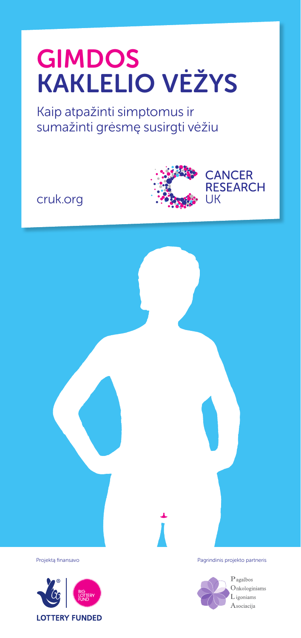# GIMDOS KAKLELIO VĖŽYS

Kaip atpažinti simptomus ir sumažinti grėsmę susirgti vėžiu

cruk.org



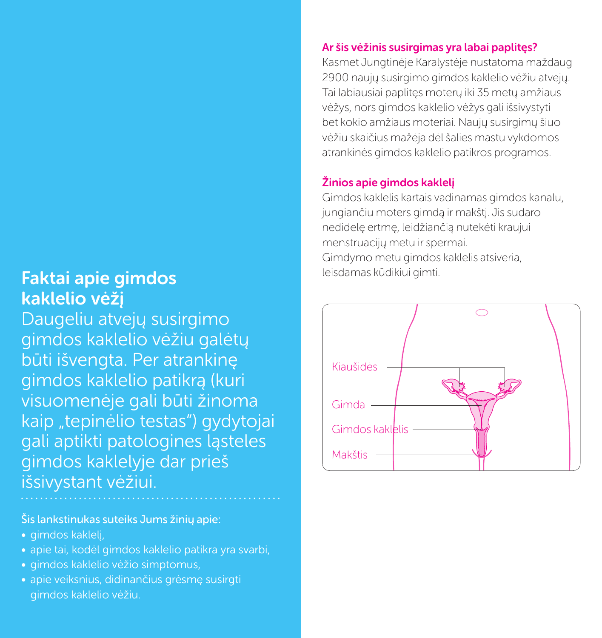## **Faktai apie gimdos kaipunginis kuri kaksi apie gimti. Faktai apie gimti.** kaklelio vėžį

Daugeliu atvejų susirgimo gimdos kaklelio vėžiu galėtų būti išvengta. Per atrankinę gimdos kaklelio patikrą (kuri visuomenėje gali būti žinoma kaip "tepinėlio testas") gydytojai gali aptikti patologines ląsteles gimdos kaklelyje dar prieš išsivystant vėžiui.

Šis lankstinukas suteiks Jums žinių apie:

- gimdos kaklelį,
- apie tai, kodėl gimdos kaklelio patikra yra svarbi,
- gimdos kaklelio vėžio simptomus,
- apie veiksnius, didinančius grėsmę susirgti gimdos kaklelio vėžiu.

### Ar šis vėžinis susirgimas yra labai paplitęs?

Kasmet Jungtinėje Karalystėje nustatoma maždaug 2900 naujų susirgimo gimdos kaklelio vėžiu atvejų. Tai labiausiai paplitęs moterų iki 35 metų amžiaus vėžys, nors gimdos kaklelio vėžys gali išsivystyti bet kokio amžiaus moteriai. Naujų susirgimų šiuo vėžiu skaičius mažėja dėl šalies mastu vykdomos atrankinės gimdos kaklelio patikros programos.

### Žinios apie gimdos kaklelį

Gimdos kaklelis kartais vadinamas gimdos kanalu, jungiančiu moters gimdą ir makštį. Jis sudaro nedidelę ertmę, leidžiančią nutekėti kraujui menstruacijų metu ir spermai. Gimdymo metu gimdos kaklelis atsiveria,

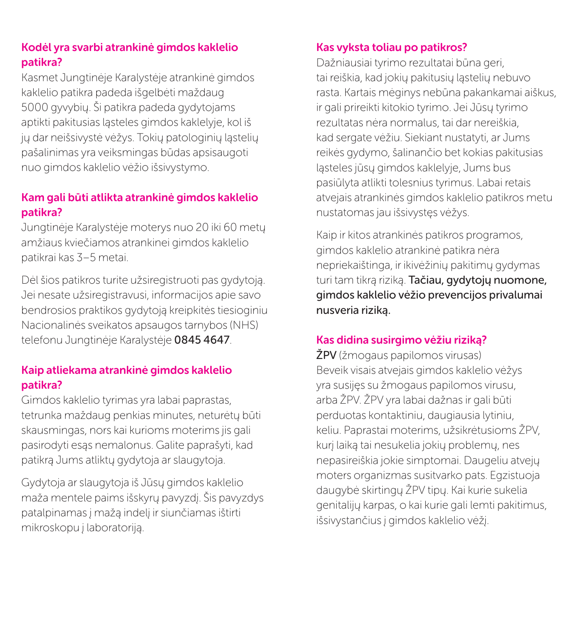### Kodėl yra svarbi atrankinė gimdos kaklelio patikra?

Kasmet Jungtinėje Karalystėje atrankinė gimdos kaklelio patikra padeda išgelbėti maždaug 5000 gyvybių. Ši patikra padeda gydytojams aptikti pakitusias ląsteles gimdos kaklelyje, kol iš jų dar neišsivystė vėžys. Tokių patologinių ląstelių pašalinimas yra veiksmingas būdas apsisaugoti nuo gimdos kaklelio vėžio išsivystymo.

### Kam gali būti atlikta atrankinė gimdos kaklelio patikra?

Jungtinėje Karalystėje moterys nuo 20 iki 60 metų amžiaus kviečiamos atrankinei gimdos kaklelio patikrai kas 3–5 metai.

Dėl šios patikros turite užsiregistruoti pas gydytoją. Jei nesate užsiregistravusi, informacijos apie savo bendrosios praktikos gydytoją kreipkitės tiesioginiu Nacionalinės sveikatos apsaugos tarnybos (NHS) telefonu Jungtinėje Karalystėje 0845 4647.

### Kaip atliekama atrankinė gimdos kaklelio patikra?

Gimdos kaklelio tyrimas yra labai paprastas, tetrunka maždaug penkias minutes, neturėtų būti skausmingas, nors kai kurioms moterims jis gali pasirodyti esąs nemalonus. Galite paprašyti, kad patikrą Jums atliktų gydytoja ar slaugytoja.

Gydytoja ar slaugytoja iš Jūsų gimdos kaklelio maža mentele paims išskyrų pavyzdį. Šis pavyzdys patalpinamas į mažą indelį ir siunčiamas ištirti mikroskopu į laboratoriją.

### Kas vyksta toliau po patikros?

Dažniausiai tyrimo rezultatai būna geri, tai reiškia, kad jokių pakitusių ląstelių nebuvo rasta. Kartais mėginys nebūna pakankamai aiškus, ir gali prireikti kitokio tyrimo. Jei Jūsų tyrimo rezultatas nėra normalus, tai dar nereiškia, kad sergate vėžiu. Siekiant nustatyti, ar Jums reikės gydymo, šalinančio bet kokias pakitusias ląsteles jūsų gimdos kaklelyje, Jums bus pasiūlyta atlikti tolesnius tyrimus. Labai retais atvejais atrankinės gimdos kaklelio patikros metu nustatomas jau išsivystęs vėžys.

Kaip ir kitos atrankinės patikros programos, gimdos kaklelio atrankinė patikra nėra nepriekaištinga, ir ikivėžinių pakitimų gydymas turi tam tikrą riziką. Tačiau, gydytojų nuomone, gimdos kaklelio vėžio prevencijos privalumai nusveria riziką.

### Kas didina susirgimo vėžiu riziką?

ŽPV (žmogaus papilomos virusas) Beveik visais atvejais gimdos kaklelio vėžys yra susijęs su žmogaus papilomos virusu, arba ŽPV. ŽPV yra labai dažnas ir gali būti perduotas kontaktiniu, daugiausia lytiniu, keliu. Paprastai moterims, užsikrėtusioms ŽPV, kurį laiką tai nesukelia jokių problemų, nes nepasireiškia jokie simptomai. Daugeliu atvejų moters organizmas susitvarko pats. Egzistuoja daugybė skirtingų ŽPV tipų. Kai kurie sukelia genitalijų karpas, o kai kurie gali lemti pakitimus, išsivystančius į gimdos kaklelio vėžį.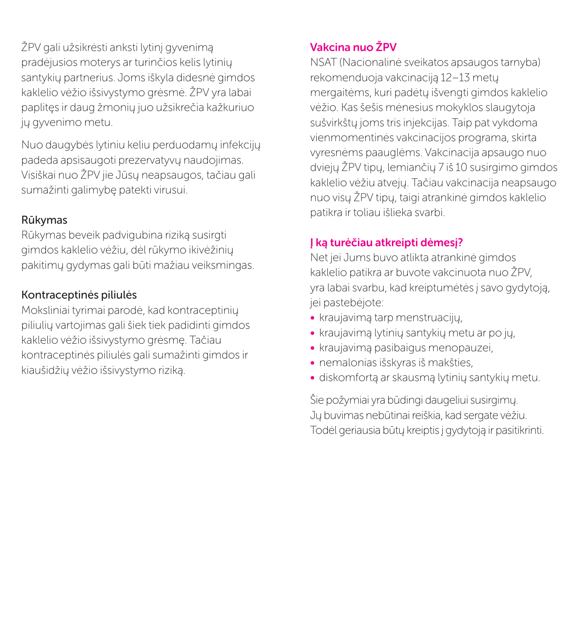ŽPV gali užsikrėsti anksti lytinį gyvenimą pradėjusios moterys ar turinčios kelis lytinių santykių partnerius. Joms iškyla didesnė gimdos kaklelio vėžio išsivystymo grėsmė. ŽPV yra labai paplitęs ir daug žmonių juo užsikrečia kažkuriuo jų gyvenimo metu.

Nuo daugybės lytiniu keliu perduodamų infekcijų padeda apsisaugoti prezervatyvų naudojimas. Visiškai nuo ŽPV jie Jūsų neapsaugos, tačiau gali sumažinti galimybę patekti virusui.

### Rūkymas

Rūkymas beveik padvigubina riziką susirgti gimdos kaklelio vėžiu, dėl rūkymo ikivėžinių pakitimų gydymas gali būti mažiau veiksmingas.

### Kontraceptinės piliulės

Moksliniai tyrimai parodė, kad kontraceptinių piliulių vartojimas gali šiek tiek padidinti gimdos kaklelio vėžio išsivystymo grėsmę. Tačiau kontraceptinės piliulės gali sumažinti gimdos ir kiaušidžių vėžio išsivystymo riziką.

### Vakcina nuo ŽPV

NSAT (Nacionalinė sveikatos apsaugos tarnyba) rekomenduoja vakcinaciją 12–13 metų mergaitėms, kuri padėtų išvengti gimdos kaklelio vėžio. Kas šešis mėnesius mokyklos slaugytoja sušvirkštų joms tris injekcijas. Taip pat vykdoma vienmomentinės vakcinacijos programa, skirta vyresnėms paauglėms. Vakcinacija apsaugo nuo dviejų ŽPV tipų, lemiančių 7 iš 10 susirgimo gimdos kaklelio vėžiu atvejų. Tačiau vakcinacija neapsaugo nuo visų ŽPV tipų, taigi atrankinė gimdos kaklelio patikra ir toliau išlieka svarbi.

### Į ką turėčiau atkreipti dėmesį?

Net jei Jums buvo atlikta atrankinė gimdos kaklelio patikra ar buvote vakcinuota nuo ŽPV, yra labai svarbu, kad kreiptumėtės į savo gydytoją, jei pastebėjote:

- kraujavimą tarp menstruacijų,
- kraujavimą lytinių santykių metu ar po jų,
- kraujavimą pasibaigus menopauzei,
- • nemalonias išskyras iš makšties,
- diskomfortą ar skausmą lytinių santykių metu.

Šie požymiai yra būdingi daugeliui susirgimų. Jų buvimas nebūtinai reiškia, kad sergate vėžiu. Todėl geriausia būtų kreiptis į gydytoją ir pasitikrinti.